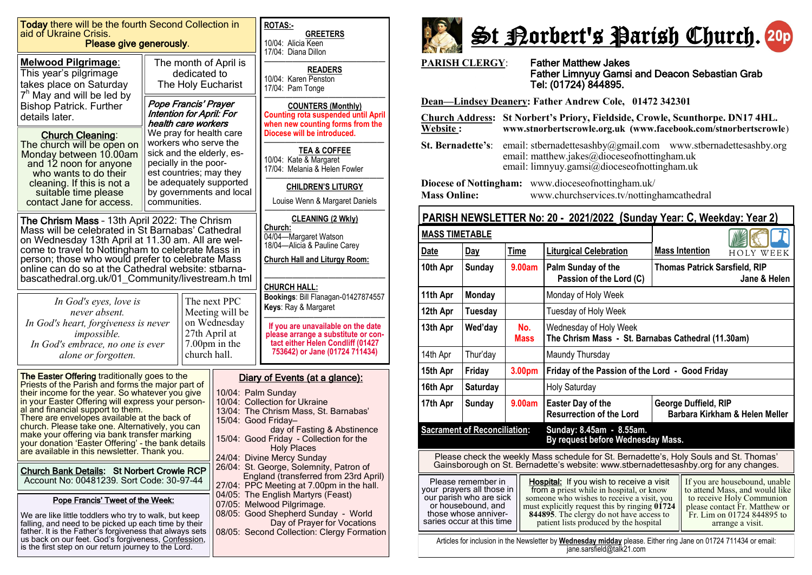| Today there will be the fourth Second Collection in<br>aid of Ukraine Crisis.<br>Please give generously.                                                                                                                                                                                                                                                                     |                                                                                                                                                                                                                                                                                                                                                                                                                                                                                                                          |              |                                                                                                                                                                                      | <b>ROTAS:-</b><br><b>GREETERS</b>                                                                                                                                                                                                                                                                                                                                       |  |
|------------------------------------------------------------------------------------------------------------------------------------------------------------------------------------------------------------------------------------------------------------------------------------------------------------------------------------------------------------------------------|--------------------------------------------------------------------------------------------------------------------------------------------------------------------------------------------------------------------------------------------------------------------------------------------------------------------------------------------------------------------------------------------------------------------------------------------------------------------------------------------------------------------------|--------------|--------------------------------------------------------------------------------------------------------------------------------------------------------------------------------------|-------------------------------------------------------------------------------------------------------------------------------------------------------------------------------------------------------------------------------------------------------------------------------------------------------------------------------------------------------------------------|--|
|                                                                                                                                                                                                                                                                                                                                                                              |                                                                                                                                                                                                                                                                                                                                                                                                                                                                                                                          |              |                                                                                                                                                                                      | 10/04: Alicia Keen<br>17/04: Diana Dillon                                                                                                                                                                                                                                                                                                                               |  |
| <b>Melwood Pilgrimage:</b><br>This year's pilgrimage<br>takes place on Saturday<br>$7h$ May and will be led by<br><b>Bishop Patrick. Further</b><br>details later.                                                                                                                                                                                                           | The month of April is<br>dedicated to<br>The Holy Eucharist<br>Pope Francis' Prayer<br><b>Intention for April: For</b><br>health care workers<br>We pray for health care<br>workers who serve the<br>sick and the elderly, es-<br>pecially in the poor-<br>est countries; may they<br>be adequately supported<br>by governments and local<br>communities.                                                                                                                                                                |              |                                                                                                                                                                                      | <b>READERS</b><br>10/04: Karen Penston<br>17/04: Pam Tonge<br><b>COUNTERS (Monthly)</b><br><b>Counting rota suspended until April</b>                                                                                                                                                                                                                                   |  |
| <b>Church Cleaning:</b><br>The church will be open on<br>Monday between 10.00am<br>and 12 noon for anyone<br>who wants to do their<br>cleaning. If this is not a<br>suitable time please<br>contact Jane for access.                                                                                                                                                         |                                                                                                                                                                                                                                                                                                                                                                                                                                                                                                                          |              |                                                                                                                                                                                      | when new counting forms from the<br>Diocese will be introduced.<br><b>TEA &amp; COFFEE</b><br>10/04: Kate & Margaret<br>17/04: Melania & Helen Fowler<br><b>CHILDREN'S LITURGY</b><br>Louise Wenn & Margaret Daniels                                                                                                                                                    |  |
| The Chrism Mass - 13th April 2022: The Chrism<br>Mass will be celebrated in St Barnabas' Cathedral<br>on Wednesday 13th April at 11.30 am. All are wel-<br>come to travel to Nottingham to celebrate Mass in<br>person; those who would prefer to celebrate Mass<br>online can do so at the Cathedral website: stbarna-<br>bascathedral.org.uk/01_Community/livestream.h tml | <b>CLEANING (2 Wkly)</b><br>Church:<br>04/04-Margaret Watson<br>18/04-Alicia & Pauline Carey<br><b>Church Hall and Liturgy Room:</b><br><b>CHURCH HALL:</b>                                                                                                                                                                                                                                                                                                                                                              |              |                                                                                                                                                                                      |                                                                                                                                                                                                                                                                                                                                                                         |  |
| In God's eyes, love is<br>never absent.<br>In God's heart, forgiveness is never<br><i>impossible.</i><br>In God's embrace, no one is ever<br>alone or forgotten.                                                                                                                                                                                                             |                                                                                                                                                                                                                                                                                                                                                                                                                                                                                                                          | church hall. | The next PPC<br>Meeting will be<br>on Wednesday<br>27th April at<br>7.00pm in the                                                                                                    | Bookings: Bill Flanagan-01427874557<br>Keys: Ray & Margaret<br>If you are unavailable on the date<br>please arrange a substitute or con-<br>tact either Helen Condliff (01427<br>753642) or Jane (01724 711434)                                                                                                                                                         |  |
| al and financial support to them.                                                                                                                                                                                                                                                                                                                                            | The Easter Offering traditionally goes to the<br>Priests of the Parish and forms the major part of<br>their income for the year. So whatever you give<br>in your Easter Offering will express your person-<br>There are envelopes available at the back of<br>church. Please take one. Alternatively, you can<br>make your offering via bank transfer marking<br>your donation 'Easter Offering' - the bank details<br>are available in this newsletter. Thank you.<br><b>Church Bank Details: St Norbert Crowle RCP</b> |              |                                                                                                                                                                                      | Diary of Events (at a glance):<br>10/04: Palm Sunday<br>10/04: Collection for Ukraine<br>13/04: The Chrism Mass, St. Barnabas'<br>15/04: Good Friday-<br>day of Fasting & Abstinence<br>15/04: Good Friday - Collection for the<br><b>Holy Places</b><br>24/04: Divine Mercy Sunday<br>26/04: St. George, Solemnity, Patron of<br>England (transferred from 23rd April) |  |
| Account No: 00481239. Sort Code: 30-97-44                                                                                                                                                                                                                                                                                                                                    |                                                                                                                                                                                                                                                                                                                                                                                                                                                                                                                          |              |                                                                                                                                                                                      | 27/04: PPC Meeting at 7.00pm in the hall.                                                                                                                                                                                                                                                                                                                               |  |
| Pope Francis' Tweet of the Week:<br>We are like little toddlers who try to walk, but keep<br>falling, and need to be picked up each time by their<br>father. It is the Father's forgiveness that always sets<br>us back on our feet. God's forgiveness, Confession,<br>is the first step on our return journey to the Lord.                                                  |                                                                                                                                                                                                                                                                                                                                                                                                                                                                                                                          |              | 04/05: The English Martyrs (Feast)<br>07/05: Melwood Pilgrimage.<br>08/05: Good Shepherd Sunday - World<br>Day of Prayer for Vocations<br>08/05: Second Collection: Clergy Formation |                                                                                                                                                                                                                                                                                                                                                                         |  |



**PARISH CLERGY**: Father Matthew Jakes

### Father Limnyuy Gamsi and Deacon Sebastian Grab Tel: (01724) 844895.

**Dean—Lindsey Deanery: Father Andrew Cole, 01472 342301** 

**Church Address: St Norbert's Priory, Fieldside, Crowle, Scunthorpe. DN17 4HL. Website : www.stnorbertscrowle.org.uk (www.facebook.com/stnorbertscrowle**) **St. Bernadette's**: email: stbernadettesashby@gmail.com [www.stbernadettesashby.org](http://www.stbernadettesashby.org/)  email: matthew.jakes@dioceseofnottingham.uk email: limnyuy.gamsi@dioceseofnottingham.uk **Diocese of Nottingham:** www.dioceseofnottingham.uk/ **Mass Online:** www.churchservices.tv/nottinghamcathedral

### **PARISH NEWSLETTER No: 20 - 2021/2022 (Sunday Year: C, Weekday: Year 2)**

| <b>MASS TIMETABLE</b>                                                                                                                                                                                                                                                                                                                                                                                                                                                                                                                                                                                                        |                 |                    |                                                                              |                                                        |  |  |
|------------------------------------------------------------------------------------------------------------------------------------------------------------------------------------------------------------------------------------------------------------------------------------------------------------------------------------------------------------------------------------------------------------------------------------------------------------------------------------------------------------------------------------------------------------------------------------------------------------------------------|-----------------|--------------------|------------------------------------------------------------------------------|--------------------------------------------------------|--|--|
| <b>Date</b>                                                                                                                                                                                                                                                                                                                                                                                                                                                                                                                                                                                                                  | Day             | <b>Time</b>        | <b>Liturgical Celebration</b>                                                | <b>Mass Intention</b><br>HOLY WEEK                     |  |  |
| 10th Apr                                                                                                                                                                                                                                                                                                                                                                                                                                                                                                                                                                                                                     | <b>Sunday</b>   | 9.00am             | Palm Sunday of the<br>Passion of the Lord (C)                                | <b>Thomas Patrick Sarsfield, RIP</b><br>Jane & Helen   |  |  |
| 11th Apr                                                                                                                                                                                                                                                                                                                                                                                                                                                                                                                                                                                                                     | <b>Monday</b>   |                    | Monday of Holy Week                                                          |                                                        |  |  |
| 12th Apr                                                                                                                                                                                                                                                                                                                                                                                                                                                                                                                                                                                                                     | Tuesday         |                    | Tuesday of Holy Week                                                         |                                                        |  |  |
| 13th Apr                                                                                                                                                                                                                                                                                                                                                                                                                                                                                                                                                                                                                     | Wed'day         | No.<br><b>Mass</b> | Wednesday of Holy Week<br>The Chrism Mass - St. Barnabas Cathedral (11.30am) |                                                        |  |  |
| 14th Apr                                                                                                                                                                                                                                                                                                                                                                                                                                                                                                                                                                                                                     | Thur'day        |                    | Maundy Thursday                                                              |                                                        |  |  |
| 15th Apr                                                                                                                                                                                                                                                                                                                                                                                                                                                                                                                                                                                                                     | Friday          | 3.00pm             | Friday of the Passion of the Lord - Good Friday                              |                                                        |  |  |
| 16th Apr                                                                                                                                                                                                                                                                                                                                                                                                                                                                                                                                                                                                                     | <b>Saturday</b> |                    | <b>Holy Saturday</b>                                                         |                                                        |  |  |
| 17th Apr                                                                                                                                                                                                                                                                                                                                                                                                                                                                                                                                                                                                                     | <b>Sunday</b>   | 9.00am             | Easter Day of the<br><b>Resurrection of the Lord</b>                         | George Duffield, RIP<br>Barbara Kirkham & Helen Meller |  |  |
| <b>Sacrament of Reconciliation:</b><br>Sunday: 8.45am - 8.55am.<br>By request before Wednesday Mass.                                                                                                                                                                                                                                                                                                                                                                                                                                                                                                                         |                 |                    |                                                                              |                                                        |  |  |
| Please check the weekly Mass schedule for St. Bernadette's, Holy Souls and St. Thomas'<br>Gainsborough on St. Bernadette's website: www.stbernadettesashby.org for any changes.                                                                                                                                                                                                                                                                                                                                                                                                                                              |                 |                    |                                                                              |                                                        |  |  |
| Please remember in<br><b>Hospital:</b> If you wish to receive a visit<br>If you are housebound, unable<br>to attend Mass, and would like<br>your prayers all those in<br>from a priest while in hospital, or know<br>our parish who are sick<br>someone who wishes to receive a visit, you<br>to receive Holy Communion<br>or housebound, and<br>must explicitly request this by ringing 01724<br>please contact Fr. Matthew or<br>those whose anniver-<br>844895. The clergy do not have access to<br>Fr. Lim on 01724 844895 to<br>saries occur at this time<br>patient lists produced by the hospital<br>arrange a visit. |                 |                    |                                                                              |                                                        |  |  |
| Articles for inclusion in the Newsletter by <b>Wednesday midday</b> please. Either ring Jane on 01724 711434 or email:<br>jane.sarsfield@talk21.com                                                                                                                                                                                                                                                                                                                                                                                                                                                                          |                 |                    |                                                                              |                                                        |  |  |